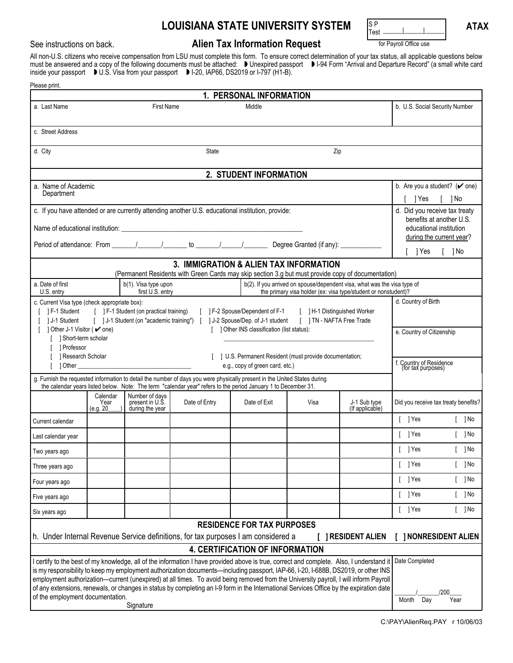## $\blacksquare$  **LOUISIANA STATE UNIVERSITY SYSTEM**  $\blacksquare$   $\blacksquare$   $\blacksquare$   $\blacksquare$  **ATAX**

## See instructions on back. **Alien Tax Information Request For Payroll Office use**

S P<br>Test

All non-U.S. citizens who receive compensation from LSU must complete this form. To ensure correct determination of your tax status, all applicable questions below must be answered and a copy of the following documents must be attached: ™ Unexpired passport ™ I-94 Form "Arrival and Departure Record" (a small white card inside your passport NU.S. Visa from your passport NI-20, IAP66, DS2019 or I-797 (H1-B).

| Please print.                                                                                                                                                                                                                                                                   |                               |                                                      |               |              |      |                                 |                                                           |
|---------------------------------------------------------------------------------------------------------------------------------------------------------------------------------------------------------------------------------------------------------------------------------|-------------------------------|------------------------------------------------------|---------------|--------------|------|---------------------------------|-----------------------------------------------------------|
| 1. PERSONAL INFORMATION                                                                                                                                                                                                                                                         |                               |                                                      |               |              |      |                                 |                                                           |
| a. Last Name                                                                                                                                                                                                                                                                    | <b>First Name</b><br>Middle   |                                                      |               |              |      |                                 | b. U.S. Social Security Number                            |
| c. Street Address                                                                                                                                                                                                                                                               |                               |                                                      |               |              |      |                                 |                                                           |
| d. City<br><b>State</b><br>Zip                                                                                                                                                                                                                                                  |                               |                                                      |               |              |      |                                 |                                                           |
| 2. STUDENT INFORMATION                                                                                                                                                                                                                                                          |                               |                                                      |               |              |      |                                 |                                                           |
| a. Name of Academic                                                                                                                                                                                                                                                             |                               |                                                      |               |              |      |                                 | b. Are you a student? $({\vee})$ one)                     |
| Department                                                                                                                                                                                                                                                                      |                               |                                                      |               |              |      |                                 | 1 Yes<br>[ ]No                                            |
| c. If you have attended or are currently attending another U.S. educational institution, provide:                                                                                                                                                                               |                               |                                                      |               |              |      |                                 | d. Did you receive tax treaty<br>benefits at another U.S. |
|                                                                                                                                                                                                                                                                                 |                               |                                                      |               |              |      |                                 | educational institution                                   |
|                                                                                                                                                                                                                                                                                 |                               |                                                      |               |              |      |                                 | during the current year?                                  |
|                                                                                                                                                                                                                                                                                 |                               |                                                      |               |              |      |                                 | $\lceil$ $\rceil$ No<br>[ 1Yes                            |
| 3. IMMIGRATION & ALIEN TAX INFORMATION<br>(Permanent Residents with Green Cards may skip section 3.g but must provide copy of documentation)                                                                                                                                    |                               |                                                      |               |              |      |                                 |                                                           |
| a. Date of first<br>b(1). Visa type upon<br>b(2). If you arrived on spouse/dependent visa, what was the visa type of                                                                                                                                                            |                               |                                                      |               |              |      |                                 |                                                           |
| first U.S. entry<br>the primary visa holder (ex: visa type/student or nonstudent)?<br>U.S. entry                                                                                                                                                                                |                               |                                                      |               |              |      | d. Country of Birth             |                                                           |
| c. Current Visa type (check appropriate box):<br>[ ] F-1 Student (on practical training) [ ] F-2 Spouse/Dependent of F-1<br>[ ] H-1 Distinguished Worker<br>1 F-1 Student                                                                                                       |                               |                                                      |               |              |      |                                 |                                                           |
| [ ] J-1 Student (on "academic training") [ ] J-2 Spouse/Dep. of J-1 student<br>[ ] TN - NAFTA Free Trade<br>1J-1 Student                                                                                                                                                        |                               |                                                      |               |              |      |                                 |                                                           |
| 1 Other J-1 Visitor ( ✔ one)<br>[ ] Other INS classification (list status):<br>[ ] Short-term scholar                                                                                                                                                                           |                               |                                                      |               |              |      |                                 | e. Country of Citizenship                                 |
| 1 Professor                                                                                                                                                                                                                                                                     |                               |                                                      |               |              |      |                                 |                                                           |
| 1 Research Scholar<br>[ ] U.S. Permanent Resident (must provide documentation;<br>1 Other 2008 - 2008 - 2009 - 2009 - 2010 - 2010 - 2010 - 2010 - 2010 - 2010 - 2010 - 2010 - 2010 - 2010 - 201<br>e.g., copy of green card, etc.)                                              |                               |                                                      |               |              |      |                                 | f. Country of Residence<br>(for tax purposes)             |
| g. Furnish the requested information to detail the number of days you were physically present in the United States during<br>the calendar years listed below. Note: The term "calendar year" refers to the period January 1 to December 31.                                     |                               |                                                      |               |              |      |                                 |                                                           |
|                                                                                                                                                                                                                                                                                 | Calendar<br>Year<br>(e.g. 20) | Number of days<br>present in U.S.<br>during the year | Date of Entry | Date of Exit | Visa | J-1 Sub type<br>(If applicable) | Did you receive tax treaty benefits?                      |
| Current calendar                                                                                                                                                                                                                                                                |                               |                                                      |               |              |      |                                 | $[$ ] Yes<br>$[$ ] No                                     |
| Last calendar year                                                                                                                                                                                                                                                              |                               |                                                      |               |              |      |                                 | $[$ ] Yes<br>$[$ ] No                                     |
| Two years ago                                                                                                                                                                                                                                                                   |                               |                                                      |               |              |      |                                 | $\lceil$   Yes<br>[ ] No                                  |
| Three years ago                                                                                                                                                                                                                                                                 |                               |                                                      |               |              |      |                                 | $[$ ] Yes<br>$[$ ] No                                     |
| Four years ago                                                                                                                                                                                                                                                                  |                               |                                                      |               |              |      |                                 | $[$ ] Yes<br>$[$ ] No                                     |
| Five years ago                                                                                                                                                                                                                                                                  |                               |                                                      |               |              |      |                                 | $[$ ] Yes<br>$[$ ] No                                     |
| Six years ago                                                                                                                                                                                                                                                                   |                               |                                                      |               |              |      |                                 | $[$ ] Yes<br>$[$ ] No                                     |
| <b>RESIDENCE FOR TAX PURPOSES</b>                                                                                                                                                                                                                                               |                               |                                                      |               |              |      |                                 |                                                           |
| h. Under Internal Revenue Service definitions, for tax purposes I am considered a<br>[ ] NONRESIDENT ALIEN<br><b>J RESIDENT ALIEN</b>                                                                                                                                           |                               |                                                      |               |              |      |                                 |                                                           |
| <b>4. CERTIFICATION OF INFORMATION</b><br>Date Completed<br>I certify to the best of my knowledge, all of the information I have provided above is true, correct and complete. Also, I understand it                                                                            |                               |                                                      |               |              |      |                                 |                                                           |
| is my responsibility to keep my employment authorization documents-including passport, IAP-66, I-20, I-688B, DS2019, or other INS                                                                                                                                               |                               |                                                      |               |              |      |                                 |                                                           |
| employment authorization-current (unexpired) at all times. To avoid being removed from the University payroll, I will inform Payroll<br>of any extensions, renewals, or changes in status by completing an I-9 form in the International Services Office by the expiration date |                               |                                                      |               |              |      |                                 |                                                           |
| /200<br>of the employment documentation.<br>Year<br>Month<br>Day                                                                                                                                                                                                                |                               |                                                      |               |              |      |                                 |                                                           |
| Signature                                                                                                                                                                                                                                                                       |                               |                                                      |               |              |      |                                 |                                                           |